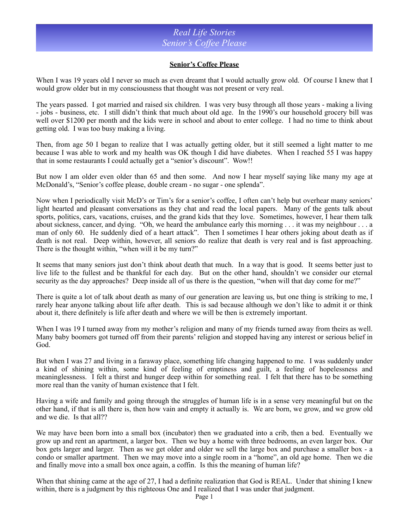## *Real Life Stories Senior's Coffee Please*

## **Senior's Coffee Please**

When I was 19 years old I never so much as even dreamt that I would actually grow old. Of course I knew that I would grow older but in my consciousness that thought was not present or very real.

The years passed. I got married and raised six children. I was very busy through all those years - making a living - jobs - business, etc. I still didn't think that much about old age. In the 1990's our household grocery bill was well over \$1200 per month and the kids were in school and about to enter college. I had no time to think about getting old. I was too busy making a living.

Then, from age 50 I began to realize that I was actually getting older, but it still seemed a light matter to me because I was able to work and my health was OK though I did have diabetes. When I reached 55 I was happy that in some restaurants I could actually get a "senior's discount". Wow!!

But now I am older even older than 65 and then some. And now I hear myself saying like many my age at McDonald's, "Senior's coffee please, double cream - no sugar - one splenda".

Now when I periodically visit McD's or Tim's for a senior's coffee, I often can't help but overhear many seniors' light hearted and pleasant conversations as they chat and read the local papers. Many of the gents talk about sports, politics, cars, vacations, cruises, and the grand kids that they love. Sometimes, however, I hear them talk about sickness, cancer, and dying. "Oh, we heard the ambulance early this morning . . . it was my neighbour . . . a man of only 60. He suddenly died of a heart attack". Then I sometimes I hear others joking about death as if death is not real. Deep within, however, all seniors do realize that death is very real and is fast approaching. There is the thought within, "when will it be my turn?"

It seems that many seniors just don't think about death that much. In a way that is good. It seems better just to live life to the fullest and be thankful for each day. But on the other hand, shouldn't we consider our eternal security as the day approaches? Deep inside all of us there is the question, "when will that day come for me?"

There is quite a lot of talk about death as many of our generation are leaving us, but one thing is striking to me, I rarely hear anyone talking about life after death. This is sad because although we don't like to admit it or think about it, there definitely is life after death and where we will be then is extremely important.

When I was 19 I turned away from my mother's religion and many of my friends turned away from theirs as well. Many baby boomers got turned off from their parents' religion and stopped having any interest or serious belief in God.

But when I was 27 and living in a faraway place, something life changing happened to me. I was suddenly under a kind of shining within, some kind of feeling of emptiness and guilt, a feeling of hopelessness and meaninglessness. I felt a thirst and hunger deep within for something real. I felt that there has to be something more real than the vanity of human existence that I felt.

Having a wife and family and going through the struggles of human life is in a sense very meaningful but on the other hand, if that is all there is, then how vain and empty it actually is. We are born, we grow, and we grow old and we die. Is that all??

We may have been born into a small box (incubator) then we graduated into a crib, then a bed. Eventually we grow up and rent an apartment, a larger box. Then we buy a home with three bedrooms, an even larger box. Our box gets larger and larger. Then as we get older and older we sell the large box and purchase a smaller box - a condo or smaller apartment. Then we may move into a single room in a "home", an old age home. Then we die and finally move into a small box once again, a coffin. Is this the meaning of human life?

When that shining came at the age of 27, I had a definite realization that God is REAL. Under that shining I knew within, there is a judgment by this righteous One and I realized that I was under that judgment.